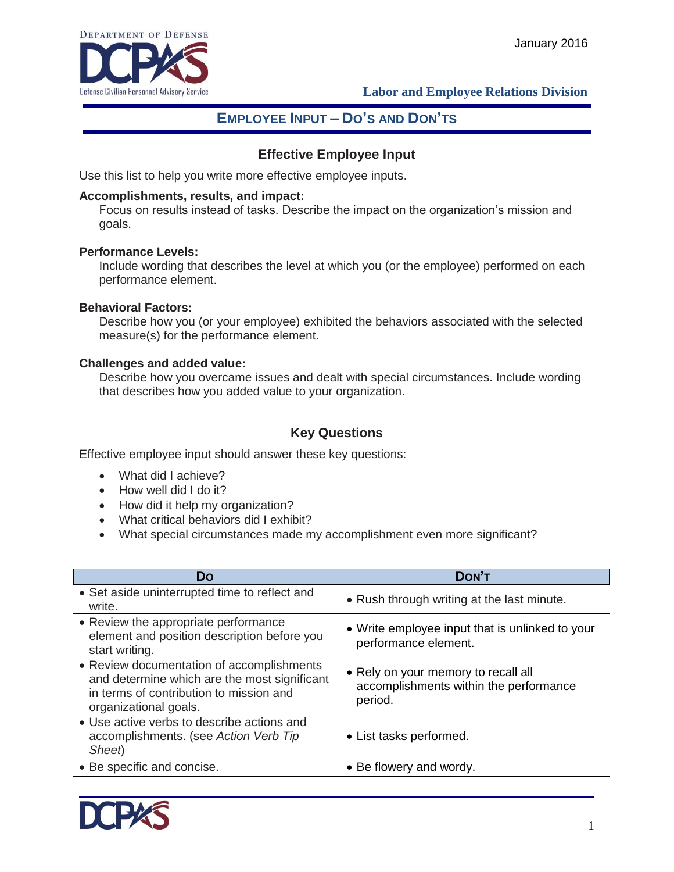

 **Labor and Employee Relations Division**

# **EMPLOYEE INPUT – DO'S AND DON'TS**

## **Effective Employee Input**

Use this list to help you write more effective employee inputs.

#### **Accomplishments, results, and impact:**

Focus on results instead of tasks. Describe the impact on the organization's mission and goals.

#### **Performance Levels:**

Include wording that describes the level at which you (or the employee) performed on each performance element.

#### **Behavioral Factors:**

Describe how you (or your employee) exhibited the behaviors associated with the selected measure(s) for the performance element.

#### **Challenges and added value:**

Describe how you overcame issues and dealt with special circumstances. Include wording that describes how you added value to your organization.

## **Key Questions**

Effective employee input should answer these key questions:

- What did I achieve?
- How well did I do it?
- How did it help my organization?
- What critical behaviors did I exhibit?
- What special circumstances made my accomplishment even more significant?

| DON'T                                                                                    |
|------------------------------------------------------------------------------------------|
| • Rush through writing at the last minute.                                               |
| • Write employee input that is unlinked to your<br>performance element.                  |
| • Rely on your memory to recall all<br>accomplishments within the performance<br>period. |
| • List tasks performed.                                                                  |
| • Be flowery and wordy.                                                                  |
|                                                                                          |